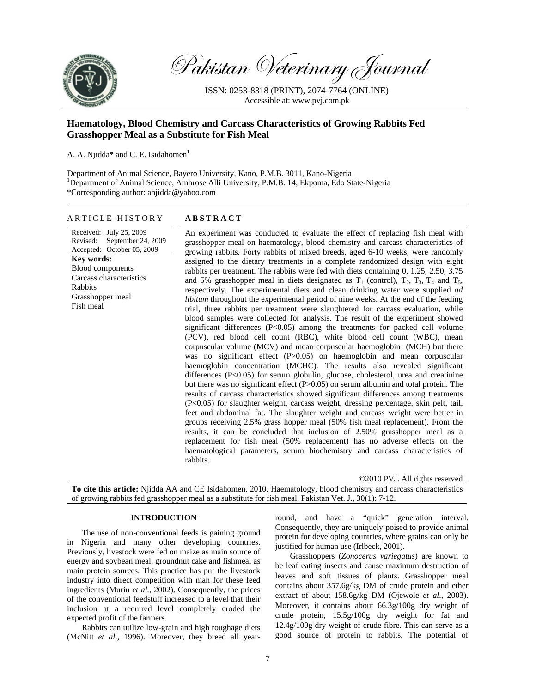

Pakistan Veterinary Journal

ISSN: 0253-8318 (PRINT), 2074-7764 (ONLINE) Accessible at: www.pvj.com.pk

# **Haematology, Blood Chemistry and Carcass Characteristics of Growing Rabbits Fed Grasshopper Meal as a Substitute for Fish Meal**

A. A. Njidda\* and C. E. Isidahomen $<sup>1</sup>$ </sup>

Department of Animal Science, Bayero University, Kano, P.M.B. 3011, Kano-Nigeria <sup>1</sup>Department of Animal Science, Ambrose Alli University, P.M.B. 14, Ekpoma, Edo State-Nigeria \*Corresponding author: ahjidda@yahoo.com

# ARTICLE HISTORY **ABSTRACT**

Received: July 25, 2009 Revised: September 24, 2009 Accepted: October 05, 2009 **Key words:**  Blood components Carcass characteristics Rabbits Grasshopper meal Fish meal

An experiment was conducted to evaluate the effect of replacing fish meal with grasshopper meal on haematology, blood chemistry and carcass characteristics of growing rabbits. Forty rabbits of mixed breeds, aged 6-10 weeks, were randomly assigned to the dietary treatments in a complete randomized design with eight rabbits per treatment. The rabbits were fed with diets containing 0, 1.25, 2.50, 3.75 and 5% grasshopper meal in diets designated as  $T_1$  (control),  $T_2$ ,  $T_3$ ,  $T_4$  and  $T_5$ , respectively. The experimental diets and clean drinking water were supplied *ad libitum* throughout the experimental period of nine weeks. At the end of the feeding trial, three rabbits per treatment were slaughtered for carcass evaluation, while blood samples were collected for analysis. The result of the experiment showed significant differences (P<0.05) among the treatments for packed cell volume (PCV), red blood cell count (RBC), white blood cell count (WBC), mean corpuscular volume (MCV) and mean corpuscular haemoglobin (MCH) but there was no significant effect (P>0.05) on haemoglobin and mean corpuscular haemoglobin concentration (MCHC). The results also revealed significant differences (P<0.05) for serum globulin, glucose, cholesterol, urea and creatinine but there was no significant effect (P>0.05) on serum albumin and total protein. The results of carcass characteristics showed significant differences among treatments (P<0.05) for slaughter weight, carcass weight, dressing percentage, skin pelt, tail, feet and abdominal fat. The slaughter weight and carcass weight were better in groups receiving 2.5% grass hopper meal (50% fish meal replacement). From the results, it can be concluded that inclusion of 2.50% grasshopper meal as a replacement for fish meal (50% replacement) has no adverse effects on the haematological parameters, serum biochemistry and carcass characteristics of rabbits.

©2010 PVJ. All rights reserved

**To cite this article:** Njidda AA and CE Isidahomen, 2010. Haematology, blood chemistry and carcass characteristics of growing rabbits fed grasshopper meal as a substitute for fish meal. Pakistan Vet. J., 30(1): 7-12.

# **INTRODUCTION**

The use of non-conventional feeds is gaining ground in Nigeria and many other developing countries. Previously, livestock were fed on maize as main source of energy and soybean meal, groundnut cake and fishmeal as main protein sources. This practice has put the livestock industry into direct competition with man for these feed ingredients (Muriu *et al.*, 2002). Consequently, the prices of the conventional feedstuff increased to a level that their inclusion at a required level completely eroded the expected profit of the farmers.

Rabbits can utilize low-grain and high roughage diets (McNitt *et al*., 1996). Moreover, they breed all yearround, and have a "quick" generation interval. Consequently, they are uniquely poised to provide animal protein for developing countries, where grains can only be justified for human use (Irlbeck, 2001).

Grasshoppers (*Zonocerus variegatus*) are known to be leaf eating insects and cause maximum destruction of leaves and soft tissues of plants. Grasshopper meal contains about 357.6g/kg DM of crude protein and ether extract of about 158.6g/kg DM (Ojewole *et al*., 2003). Moreover, it contains about 66.3g/100g dry weight of crude protein, 15.5g/100g dry weight for fat and 12.4g/100g dry weight of crude fibre. This can serve as a good source of protein to rabbits. The potential of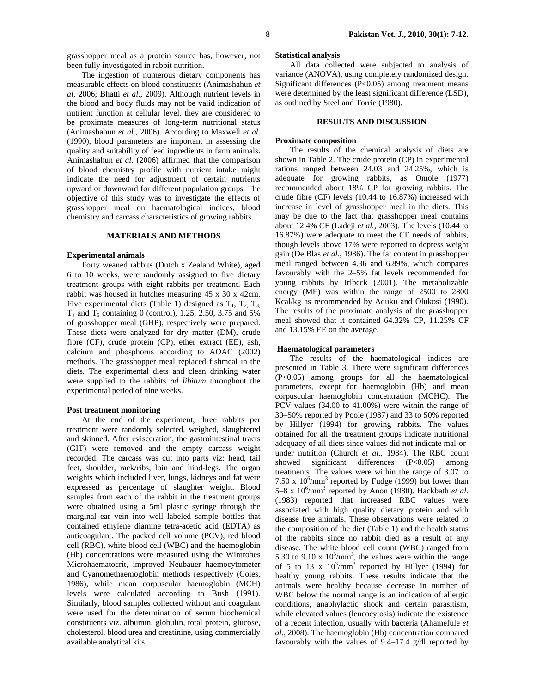The ingestion of numerous dietary components has measurable effects on blood constituents (Animashahun *et al*, 2006; Bhatti *et al*., 2009). Although nutrient levels in the blood and body fluids may not be valid indication of nutrient function at cellular level, they are considered to be proximate measures of long-term nutritional status (Animashahun *et al*., 2006). According to Maxwell *et al*. (1990), blood parameters are important in assessing the quality and suitability of feed ingredients in farm animals. Animashahun *et al.* (2006) affirmed that the comparison of blood chemistry profile with nutrient intake might indicate the need for adjustment of certain nutrients upward or downward for different population groups. The objective of this study was to investigate the effects of grasshopper meal on haematological indices, blood chemistry and carcass characteristics of growing rabbits.

# **MATERIALS AND METHODS**

#### **Experimental animals**

Forty weaned rabbits (Dutch x Zealand White), aged 6 to 10 weeks, were randomly assigned to five dietary treatment groups with eight rabbits per treatment. Each rabbit was housed in hutches measuring 45 x 30 x 42cm. Five experimental diets (Table 1) designed as  $T_1$ ,  $T_2$ ,  $T_3$ ,  $T_4$  and  $T_5$  containing 0 (control), 1.25, 2.50, 3.75 and 5% of grasshopper meal (GHP), respectively were prepared. These diets were analyzed for dry matter (DM), crude fibre (CF), crude protein (CP), ether extract (EE), ash, calcium and phosphorus according to AOAC (2002) methods. The grasshopper meal replaced fishmeal in the diets. The experimental diets and clean drinking water were supplied to the rabbits *ad libitum* throughout the experimental period of nine weeks.

#### **Post treatment monitoring**

At the end of the experiment, three rabbits per treatment were randomly selected, weighed, slaughtered and skinned. After evisceration, the gastrointestinal tracts (GIT) were removed and the empty carcass weight recorded. The carcass was cut into parts viz: head, tail feet, shoulder, rack/ribs, loin and hind-legs. The organ weights which included liver, lungs, kidneys and fat were expressed as percentage of slaughter weight. Blood samples from each of the rabbit in the treatment groups were obtained using a 5ml plastic syringe through the marginal ear vein into well labeled sample bottles that contained ethylene diamine tetra-acetic acid (EDTA) as anticoagulant. The packed cell volume (PCV), red blood cell (RBC), white blood cell (WBC) and the haemoglobin (Hb) concentrations were measured using the Wintrobes Microhaematocrit, improved Neubauer haemocytometer and Cyanomethaemoglobin methods respectively (Coles, 1986), while mean corpuscular haemoglobin (MCH) levels were calculated according to Bush (1991). Similarly, blood samples collected without anti coagulant were used for the determination of serum biochemical constituents viz. albumin, globulin, total protein, glucose, cholesterol, blood urea and creatinine, using commercially available analytical kits.

# **Statistical analysis**

All data collected were subjected to analysis of variance (ANOVA), using completely randomized design. Significant differences (P<0.05) among treatment means were determined by the least significant difference (LSD), as outlined by Steel and Torrie (1980).

## **RESULTS AND DISCUSSION**

#### **Proximate composition**

The results of the chemical analysis of diets are shown in Table 2. The crude protein (CP) in experimental rations ranged between 24.03 and 24.25%, which is adequate for growing rabbits, as Omole (1977) recommended about 18% CP for growing rabbits. The crude fibre (CF) levels (10.44 to 16.87%) increased with increase in level of grasshopper meal in the diets. This may be due to the fact that grasshopper meal contains about 12.4% CF (Ladeji *et al.*, 2003). The levels (10.44 to 16.87%) were adequate to meet the CF needs of rabbits, though levels above 17% were reported to depress weight gain (De Blas *et al*., 1986). The fat content in grasshopper meal ranged between 4.36 and 6.89%, which compares favourably with the 2–5% fat levels recommended for young rabbits by Irlbeck (2001). The metabolizable energy (ME) was within the range of 2500 to 2800 Kcal/kg as recommended by Aduku and Olukosi (1990). The results of the proximate analysis of the grasshopper meal showed that it contained 64.32% CP, 11.25% CF and 13.15% EE on the average.

#### **Haematological parameters**

The results of the haematological indices are presented in Table 3. There were significant differences (P<0.05) among groups for all the haematological parameters, except for haemoglobin (Hb) and mean corpuscular haemoglobin concentration (MCHC). The PCV values (34.00 to 41.00%) were within the range of 30–50% reported by Poole (1987) and 33 to 50% reported by Hillyer (1994) for growing rabbits. The values obtained for all the treatment groups indicate nutritional adequacy of all diets since values did not indicate mal-orunder nutrition (Church *et al.*, 1984). The RBC count showed significant differences (P<0.05) among treatments. The values were within the range of 3.07 to 7.50 x  $10^6/\text{mm}^3$  reported by Fudge (1999) but lower than 5–8 x 10<sup>6</sup>/mm<sup>3</sup> reported by Anon (1980). Hackbath *et al.* (1983) reported that increased RBC values were associated with high quality dietary protein and with disease free animals. These observations were related to the composition of the diet (Table 1) and the health status of the rabbits since no rabbit died as a result of any disease. The white blood cell count (WBC) ranged from 5.30 to 9.10 x  $10^3/\text{mm}^3$ , the values were within the range of 5 to 13 x  $10^3/\text{mm}^3$  reported by Hillyer (1994) for healthy young rabbits. These results indicate that the animals were healthy because decrease in number of WBC below the normal range is an indication of allergic conditions, anaphylactic shock and certain parasitism, while elevated values (leucocytosis) indicate the existence of a recent infection, usually with bacteria (Ahamefule *et al.,* 2008). The haemoglobin (Hb) concentration compared favourably with the values of 9.4–17.4 g/dl reported by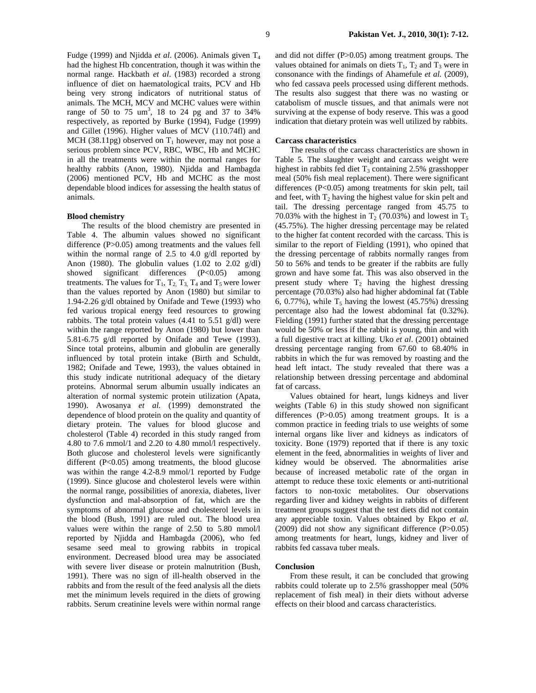Fudge (1999) and Niidda *et al.* (2006). Animals given T<sub>4</sub> had the highest Hb concentration, though it was within the normal range. Hackbath *et al*. (1983) recorded a strong influence of diet on haematological traits, PCV and Hb being very strong indicators of nutritional status of animals. The MCH, MCV and MCHC values were within range of 50 to 75  $\text{um}^3$ , 18 to 24 pg and 37 to 34% respectively, as reported by Burke (1994), Fudge (1999) and Gillet (1996). Higher values of MCV (110.74fl) and MCH (38.11pg) observed on  $T_1$  however, may not pose a serious problem since PCV, RBC, WBC, Hb and MCHC in all the treatments were within the normal ranges for healthy rabbits (Anon, 1980). Njidda and Hambagda (2006) mentioned PCV, Hb and MCHC as the most dependable blood indices for assessing the health status of animals.

# **Blood chemistry**

The results of the blood chemistry are presented in Table 4. The albumin values showed no significant difference (P>0.05) among treatments and the values fell within the normal range of 2.5 to 4.0 g/dl reported by Anon (1980). The globulin values (1.02 to 2.02  $g/dl$ ) showed significant differences (P<0.05) among treatments. The values for  $T_1$ ,  $T_2$ ,  $T_3$ ,  $T_4$  and  $T_5$  were lower than the values reported by Anon (1980) but similar to 1.94-2.26 g/dl obtained by Onifade and Tewe (1993) who fed various tropical energy feed resources to growing rabbits. The total protein values  $(4.41 \text{ to } 5.51 \text{ g/dl})$  were within the range reported by Anon (1980) but lower than 5.81-6.75 g/dl reported by Onifade and Tewe (1993). Since total proteins, albumin and globulin are generally influenced by total protein intake (Birth and Schuldt, 1982; Onifade and Tewe, 1993), the values obtained in this study indicate nutritional adequacy of the dietary proteins. Abnormal serum albumin usually indicates an alteration of normal systemic protein utilization (Apata, 1990). Awosanya *et al.* (1999) demonstrated the dependence of blood protein on the quality and quantity of dietary protein. The values for blood glucose and cholesterol (Table 4) recorded in this study ranged from 4.80 to 7.6 mmol/1 and 2.20 to 4.80 mmol/l respectively. Both glucose and cholesterol levels were significantly different  $(P<0.05)$  among treatments, the blood glucose was within the range 4.2-8.9 mmol/1 reported by Fudge (1999). Since glucose and cholesterol levels were within the normal range, possibilities of anorexia, diabetes, liver dysfunction and mal-absorption of fat, which are the symptoms of abnormal glucose and cholesterol levels in the blood (Bush, 1991) are ruled out. The blood urea values were within the range of 2.50 to 5.80 mmol/l reported by Njidda and Hambagda (2006), who fed sesame seed meal to growing rabbits in tropical environment. Decreased blood urea may be associated with severe liver disease or protein malnutrition (Bush, 1991). There was no sign of ill-health observed in the rabbits and from the result of the feed analysis all the diets met the minimum levels required in the diets of growing rabbits. Serum creatinine levels were within normal range

and did not differ (P>0.05) among treatment groups. The values obtained for animals on diets  $T_1$ ,  $T_2$  and  $T_3$  were in consonance with the findings of Ahamefule *et al.* (2009), who fed cassava peels processed using different methods. The results also suggest that there was no wasting or catabolism of muscle tissues, and that animals were not surviving at the expense of body reserve. This was a good indication that dietary protein was well utilized by rabbits.

#### **Carcass characteristics**

The results of the carcass characteristics are shown in Table 5. The slaughter weight and carcass weight were highest in rabbits fed diet  $T_3$  containing 2.5% grasshopper meal (50% fish meal replacement). There were significant differences (P<0.05) among treatments for skin pelt, tail and feet, with  $T_2$  having the highest value for skin pelt and tail. The dressing percentage ranged from 45.75 to 70.03% with the highest in  $T_2$  (70.03%) and lowest in  $T_5$ (45.75%). The higher dressing percentage may be related to the higher fat content recorded with the carcass. This is similar to the report of Fielding (1991), who opined that the dressing percentage of rabbits normally ranges from 50 to 56% and tends to be greater if the rabbits are fully grown and have some fat. This was also observed in the present study where  $T_2$  having the highest dressing percentage (70.03%) also had higher abdominal fat (Table 6, 0.77%), while  $T_5$  having the lowest (45.75%) dressing percentage also had the lowest abdominal fat (0.32%). Fielding (1991) further stated that the dressing percentage would be 50% or less if the rabbit is young, thin and with a full digestive tract at killing. Uko *et al*. (2001) obtained dressing percentage ranging from 67.60 to 68.40% in rabbits in which the fur was removed by roasting and the head left intact. The study revealed that there was a relationship between dressing percentage and abdominal fat of carcass.

Values obtained for heart, lungs kidneys and liver weights (Table 6) in this study showed non significant differences (P>0.05) among treatment groups. It is a common practice in feeding trials to use weights of some internal organs like liver and kidneys as indicators of toxicity. Bone (1979) reported that if there is any toxic element in the feed, abnormalities in weights of liver and kidney would be observed. The abnormalities arise because of increased metabolic rate of the organ in attempt to reduce these toxic elements or anti-nutritional factors to non-toxic metabolites. Our observations regarding liver and kidney weights in rabbits of different treatment groups suggest that the test diets did not contain any appreciable toxin. Values obtained by Ekpo *et al.* (2009) did not show any significant difference (P>0.05) among treatments for heart, lungs, kidney and liver of rabbits fed cassava tuber meals.

# **Conclusion**

From these result, it can be concluded that growing rabbits could tolerate up to 2.5% grasshopper meal (50% replacement of fish meal) in their diets without adverse effects on their blood and carcass characteristics.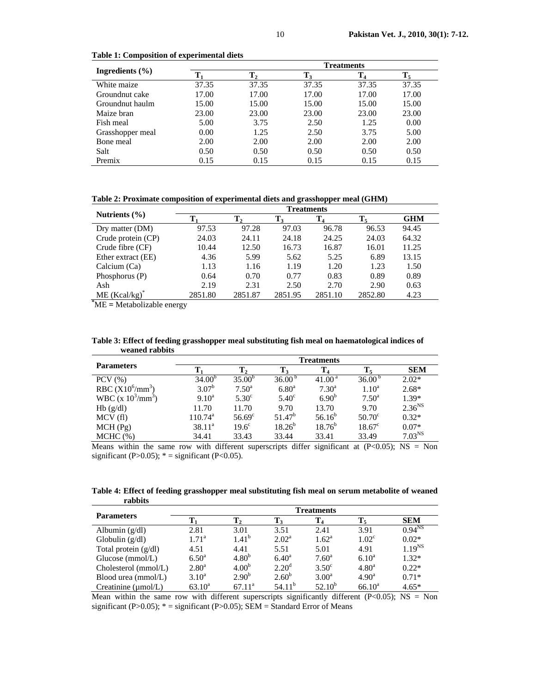|                     | <b>Treatments</b> |       |       |                |       |  |  |
|---------------------|-------------------|-------|-------|----------------|-------|--|--|
| Ingredients $(\% )$ | $\mathbf{T}_2$    |       | Т,    | $\mathbf{T}_4$ | Т,    |  |  |
| White maize         | 37.35             | 37.35 | 37.35 | 37.35          | 37.35 |  |  |
| Groundnut cake      | 17.00             | 17.00 | 17.00 | 17.00          | 17.00 |  |  |
| Groundnut haulm     | 15.00             | 15.00 | 15.00 | 15.00          | 15.00 |  |  |
| Maize bran          | 23.00             | 23.00 | 23.00 | 23.00          | 23.00 |  |  |
| Fish meal           | 5.00              | 3.75  | 2.50  | 1.25           | 0.00  |  |  |
| Grasshopper meal    | 0.00              | 1.25  | 2.50  | 3.75           | 5.00  |  |  |
| Bone meal           | 2.00              | 2.00  | 2.00  | 2.00           | 2.00  |  |  |
| Salt                | 0.50              | 0.50  | 0.50  | 0.50           | 0.50  |  |  |
| Premix              | 0.15              | 0.15  | 0.15  | 0.15           | 0.15  |  |  |

**Table 1: Composition of experimental diets** 

**Table 2: Proximate composition of experimental diets and grasshopper meal (GHM)** 

| <b>Treatments</b> |                |                |         |         |            |
|-------------------|----------------|----------------|---------|---------|------------|
|                   | $\mathbf{T}_2$ | $\mathbf{T}_3$ | $T_4$   | Т,      | <b>GHM</b> |
| 97.53             | 97.28          | 97.03          | 96.78   | 96.53   | 94.45      |
| 24.03             | 24.11          | 24.18          | 24.25   | 24.03   | 64.32      |
| 10.44             | 12.50          | 16.73          | 16.87   | 16.01   | 11.25      |
| 4.36              | 5.99           | 5.62           | 5.25    | 6.89    | 13.15      |
| 1.13              | 1.16           | 1.19           | 1.20    | 1.23    | 1.50       |
| 0.64              | 0.70           | 0.77           | 0.83    | 0.89    | 0.89       |
| 2.19              | 2.31           | 2.50           | 2.70    | 2.90    | 0.63       |
| 2851.80           | 2851.87        | 2851.95        | 2851.10 | 2852.80 | 4.23       |
|                   |                |                |         |         |            |

**\*** ME **=** Metabolizable energy

**Table 3: Effect of feeding grasshopper meal substituting fish meal on haematological indices of weaned rabbits** 

|                             | <b>Treatments</b>   |                   |                    |                    |                    |             |  |
|-----------------------------|---------------------|-------------------|--------------------|--------------------|--------------------|-------------|--|
| <b>Parameters</b>           |                     | $\mathbf{T}_2$    | 1 <sub>3</sub>     | $\mathbf{T}_4$     | $\mathbf{T}_5$     | <b>SEM</b>  |  |
| $PCV$ $(\% )$               | $34.00^{b}$         | $35.00^{b}$       | 36.00 <sup>b</sup> | 41.00 <sup>a</sup> | 36.00 <sup>b</sup> | $2.02*$     |  |
| RBC $(X10^6/\text{mm}^3)$   | $3.07^{\rm b}$      | $7.50^{\circ}$    | $6.80^{\rm a}$     | $7.30^{a}$         | 1.10 <sup>a</sup>  | $2.68*$     |  |
| WBC (x $10^3/\text{mm}^3$ ) | $9.10^a$            | 5.30 <sup>c</sup> | $5.40^\circ$       | $6.90^{b}$         | $7.50^{\rm a}$     | $1.39*$     |  |
| Hb(g/dl)                    | 11.70               | 11.70             | 9.70               | 13.70              | 9.70               | $2.36^{NS}$ |  |
| MCV(f)                      | $110.74^{\text{a}}$ | $56.69^\circ$     | $51.47^b$          | $56.16^{b}$        | $50.70^{\circ}$    | $0.32*$     |  |
| MCH(Pg)                     | $38.11^a$           | $19.6^\circ$      | $18.26^{b}$        | $18.76^{b}$        | $18.67^{\circ}$    | $0.07*$     |  |
| MCHC (%)                    | 34.41               | 33.43             | 33.44              | 33.41              | 33.49              | $7.03^{NS}$ |  |

Means within the same row with different superscripts differ significant at  $(P<0.05)$ ; NS = Non significant (P>0.05);  $* =$  significant (P<0.05).

**Table 4: Effect of feeding grasshopper meal substituting fish meal on serum metabolite of weaned rabbits** 

|                                 | <b>Treatments</b> |                   |                    |                |                   |             |  |  |
|---------------------------------|-------------------|-------------------|--------------------|----------------|-------------------|-------------|--|--|
| <b>Parameters</b>               |                   | $\mathbf{T}_2$    | T,                 |                | $\mathbf{T}_{5}$  | <b>SEM</b>  |  |  |
| Albumin $(g/dl)$                | 2.81              | 3.01              | 3.51               | 2.41           | 3.91              | $0.94^{NS}$ |  |  |
| Globulin $(g/dl)$               | $1.71^{\rm a}$    | $1.41^{b}$        | $2.02^{\rm a}$     | $1.62^{\rm a}$ | 1.02 <sup>c</sup> | $0.02*$     |  |  |
| Total protein $(g/dl)$          | 4.51              | 4.41              | 5.51               | 5.01           | 4.91              | $1.19^{NS}$ |  |  |
| Glucose $(mmol/L)$              | $6.50^{\rm a}$    | 4.80 <sup>b</sup> | $6.40^{\rm a}$     | $7.60^{\rm a}$ | $6.10^{a}$        | $1.32*$     |  |  |
| Cholesterol (mmol/L)            | $2.80^{\rm a}$    | 4.00 <sup>b</sup> | $2.20^{\rm d}$     | $3.50^{\circ}$ | 4.80 <sup>a</sup> | $0.22*$     |  |  |
| Blood urea $(mmol/L)$           | $3.10^a$          | $2.90^{b}$        | $2.60^{b}$         | $3.00^{\rm a}$ | $4.90^{\rm a}$    | $0.71*$     |  |  |
| Creatinine $(\mu \text{mol/L})$ | $63.10^a$         | $67.11^{\circ}$   | 54.11 <sup>b</sup> | $52.10^{b}$    | $66.10^a$         | $4.65*$     |  |  |

Mean within the same row with different superscripts significantly different (P<0.05); NS = Non significant (P>0.05);  $* =$  significant (P>0.05); SEM = Standard Error of Means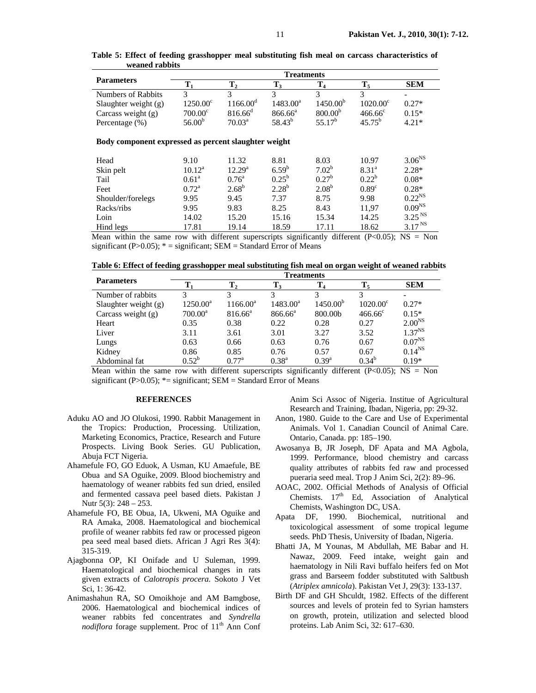|                                                      | <b>Treatments</b>  |                      |                  |                      |                   |                          |  |
|------------------------------------------------------|--------------------|----------------------|------------------|----------------------|-------------------|--------------------------|--|
| <b>Parameters</b>                                    | $\mathbf{T}_1$     | $\mathbf{T_{2}}$     | $\mathbf{T}_3$   | $\mathbf{T_4}$       | $\mathbf{T}_5$    | <b>SEM</b>               |  |
| <b>Numbers of Rabbits</b>                            | 3                  | 3                    | 3                | 3                    | 3                 | $\overline{\phantom{0}}$ |  |
| Slaughter weight $(g)$                               | $1250.00^{\circ}$  | 1166.00 <sup>d</sup> | $1483.00^a$      | 1450.00 <sup>b</sup> | $1020.00^{\circ}$ | $0.27*$                  |  |
| Carcass weight $(g)$                                 | $700.00^{\circ}$   | $816.66^{\circ}$     | $866.66^{\circ}$ | 800.00 <sup>b</sup>  | $466.66^{\circ}$  | $0.15*$                  |  |
| Percentage (%)                                       | 56.00 <sup>b</sup> | $70.03^{\text{a}}$   | $58.43^{b}$      | $55.17^{b}$          | $45.75^{b}$       | $4.21*$                  |  |
| Body component expressed as percent slaughter weight |                    |                      |                  |                      |                   |                          |  |
| Head                                                 | 9.10               | 11.32                | 8.81             | 8.03                 | 10.97             | 3.06 <sup>NS</sup>       |  |
| Skin pelt                                            | $10.12^a$          | $12.29^{\rm a}$      | $6.59^{b}$       | $7.02^b$             | $8.31^{a}$        | $2.28*$                  |  |
| Tail                                                 | 0.61 <sup>a</sup>  | $0.76^{\circ}$       | $0.25^{\rm b}$   | $0.27^{\rm b}$       | $0.22^{b}$        | $0.08*$                  |  |
| Feet                                                 | $0.72^{\rm a}$     | $2.68^{b}$           | $2.28^{b}$       | 2.08 <sup>b</sup>    | 0.89 <sup>c</sup> | $0.28*$                  |  |
| Shoulder/forelegs                                    | 9.95               | 9.45                 | 7.37             | 8.75                 | 9.98              | $0.22^{NS}$              |  |
| Racks/ribs                                           | 9.95               | 9.83                 | 8.25             | 8.43                 | 11,97             | $0.09^{NS}$              |  |
| Loin                                                 | 14.02              | 15.20                | 15.16            | 15.34                | 14.25             | 3.25 <sup>NS</sup>       |  |
| Hind legs                                            | 17.81              | 19.14                | 18.59            | 17.11                | 18.62             | 3.17 <sup>NS</sup>       |  |

**Table 5: Effect of feeding grasshopper meal substituting fish meal on carcass characteristics of weaned rabbits**

Mean within the same row with different superscripts significantly different  $(P<0.05)$ ; NS = Non significant (P $>0.05$ );  $* =$  significant; SEM = Standard Error of Means

**Table 6: Effect of feeding grasshopper meal substituting fish meal on organ weight of weaned rabbits** 

|                        | <b>Treatments</b> |                  |                     |                      |                   |                    |  |
|------------------------|-------------------|------------------|---------------------|----------------------|-------------------|--------------------|--|
| <b>Parameters</b>      | Т.                | $T_{2}$          | $\mathbf{T}_3$      |                      | $\mathbf{T}_5$    | <b>SEM</b>         |  |
| Number of rabbits      | 3                 |                  | 3                   |                      |                   |                    |  |
| Slaughter weight $(g)$ | $1250.00^a$       | $1166.00^a$      | $1483.00^a$         | 1450.00 <sup>b</sup> | $1020.00^{\circ}$ | $0.27*$            |  |
| Carcass weight $(g)$   | $700.00^a$        | $816.66^{\circ}$ | 866.66 <sup>ª</sup> | 800.00b              | $466.66^{\circ}$  | $0.15*$            |  |
| Heart                  | 0.35              | 0.38             | 0.22                | 0.28                 | 0.27              | 2.00 <sup>NS</sup> |  |
| Liver                  | 3.11              | 3.61             | 3.01                | 3.27                 | 3.52              | $1.37^{NS}$        |  |
| Lungs                  | 0.63              | 0.66             | 0.63                | 0.76                 | 0.67              | $0.07^{NS}$        |  |
| Kidney                 | 0.86              | 0.85             | 0.76                | 0.57                 | 0.67              | $0.14^{NS}$        |  |
| Abdominal fat          | $0.52^b$          | $0.77^{\rm a}$   | $0.38^{a}$          | $0.39^{a}$           | $0.34^{b}$        | $0.19*$            |  |

Mean within the same row with different superscripts significantly different  $(P<0.05)$ ; NS = Non significant (P $>0.05$ ); \*= significant; SEM = Standard Error of Means

## **REFERENCES**

- Aduku AO and JO Olukosi, 1990. Rabbit Management in the Tropics: Production, Processing. Utilization, Marketing Economics, Practice, Research and Future Prospects. Living Book Series. GU Publication, Abuja FCT Nigeria.
- Ahamefule FO, GO Eduok, A Usman, KU Amaefule, BE Obua and SA Oguike, 2009. Blood biochemistry and haematology of weaner rabbits fed sun dried, ensiled and fermented cassava peel based diets. Pakistan J Nutr 5(3): 248 – 253.
- Ahamefule FO, BE Obua, IA, Ukweni, MA Oguike and RA Amaka, 2008. Haematological and biochemical profile of weaner rabbits fed raw or processed pigeon pea seed meal based diets. African J Agri Res 3(4): 315-319.
- Ajagbonna OP, KI Onifade and U Suleman, 1999. Haematological and biochemical changes in rats given extracts of *Calotropis procera.* Sokoto J Vet Sci, 1: 36-42.
- Animashahun RA, SO Omoikhoje and AM Bamgbose, 2006. Haematological and biochemical indices of weaner rabbits fed concentrates and *Syndrella nodiflora* forage supplement. Proc of  $11<sup>th</sup>$  Ann Conf

Anim Sci Assoc of Nigeria. Institue of Agricultural Research and Training, Ibadan, Nigeria, pp: 29-32.

- Anon, 1980. Guide to the Care and Use of Experimental Animals. Vol 1. Canadian Council of Animal Care. Ontario, Canada. pp: 185–190.
- Awosanya B, JR Joseph, DF Apata and MA Agbola, 1999. Performance, blood chemistry and carcass quality attributes of rabbits fed raw and processed pueraria seed meal. Trop J Anim Sci, 2(2): 89–96.
- AOAC, 2002. Official Methods of Analysis of Official Chemists.  $17<sup>th</sup>$  Ed. Association of Analytical Chemists, Washington DC, USA.
- Apata DF, 1990. Biochemical, nutritional and toxicological assessment of some tropical legume seeds. PhD Thesis, University of Ibadan, Nigeria.
- Bhatti JA, M Younas, M Abdullah, ME Babar and H. Nawaz, 2009. Feed intake, weight gain and haematology in Nili Ravi buffalo heifers fed on Mot grass and Barseem fodder substituted with Saltbush (*Atriplex amnicola*). Pakistan Vet J, 29(3): 133-137.
- Birth DF and GH Shculdt, 1982. Effects of the different sources and levels of protein fed to Syrian hamsters on growth, protein, utilization and selected blood proteins. Lab Anim Sci, 32: 617–630.